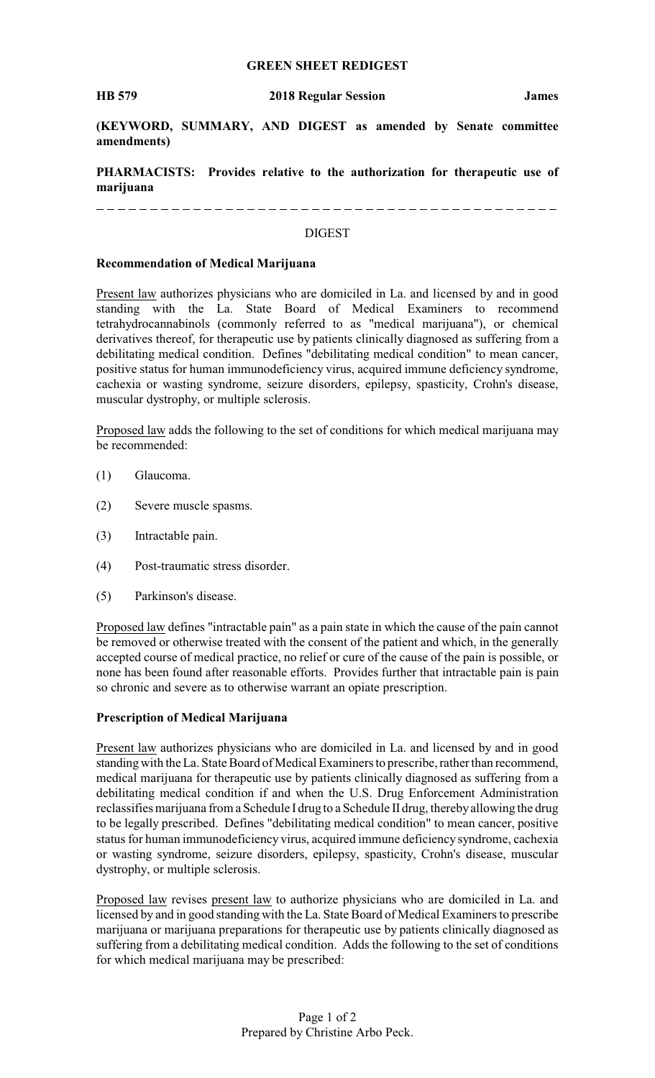### **GREEN SHEET REDIGEST**

**(KEYWORD, SUMMARY, AND DIGEST as amended by Senate committee amendments)**

**PHARMACISTS: Provides relative to the authorization for therapeutic use of marijuana**

#### DIGEST

### **Recommendation of Medical Marijuana**

Present law authorizes physicians who are domiciled in La. and licensed by and in good standing with the La. State Board of Medical Examiners to recommend tetrahydrocannabinols (commonly referred to as "medical marijuana"), or chemical derivatives thereof, for therapeutic use by patients clinically diagnosed as suffering from a debilitating medical condition. Defines "debilitating medical condition" to mean cancer, positive status for human immunodeficiency virus, acquired immune deficiency syndrome, cachexia or wasting syndrome, seizure disorders, epilepsy, spasticity, Crohn's disease, muscular dystrophy, or multiple sclerosis.

Proposed law adds the following to the set of conditions for which medical marijuana may be recommended:

- (1) Glaucoma.
- (2) Severe muscle spasms.
- (3) Intractable pain.
- (4) Post-traumatic stress disorder.
- (5) Parkinson's disease.

Proposed law defines "intractable pain" as a pain state in which the cause of the pain cannot be removed or otherwise treated with the consent of the patient and which, in the generally accepted course of medical practice, no relief or cure of the cause of the pain is possible, or none has been found after reasonable efforts. Provides further that intractable pain is pain so chronic and severe as to otherwise warrant an opiate prescription.

### **Prescription of Medical Marijuana**

Present law authorizes physicians who are domiciled in La. and licensed by and in good standingwith the La. State Board of Medical Examiners to prescribe, rather than recommend, medical marijuana for therapeutic use by patients clinically diagnosed as suffering from a debilitating medical condition if and when the U.S. Drug Enforcement Administration reclassifies marijuana from a Schedule I drug to a Schedule II drug, therebyallowing the drug to be legally prescribed. Defines "debilitating medical condition" to mean cancer, positive status for human immunodeficiency virus, acquired immune deficiency syndrome, cachexia or wasting syndrome, seizure disorders, epilepsy, spasticity, Crohn's disease, muscular dystrophy, or multiple sclerosis.

Proposed law revises present law to authorize physicians who are domiciled in La. and licensed by and in good standing with the La. State Board of Medical Examiners to prescribe marijuana or marijuana preparations for therapeutic use by patients clinically diagnosed as suffering from a debilitating medical condition. Adds the following to the set of conditions for which medical marijuana may be prescribed: